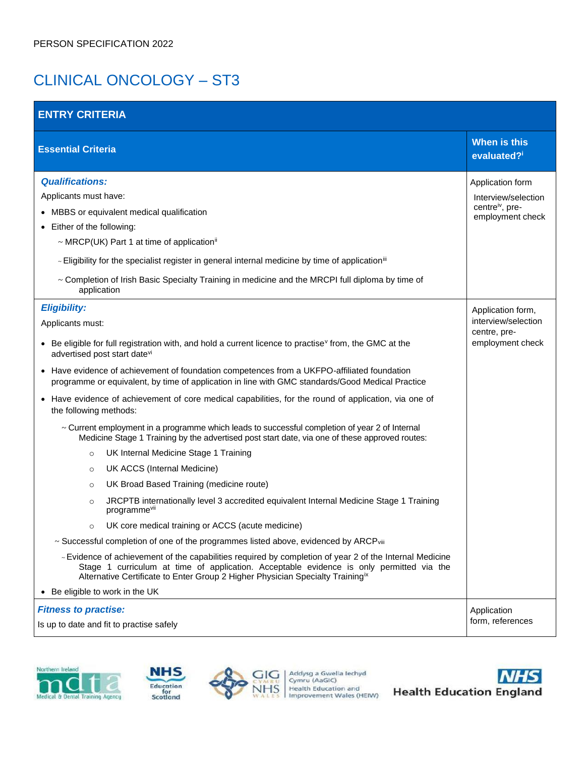# CLINICAL ONCOLOGY – ST3

| <b>ENTRY CRITERIA</b>                                                                                                                                                                                                                                                                                                                                                                                                                                                                                                                                                                                                                                                                                                                                                                                                                                                                                                                                                                                                                                                                                                                                                                                                                                                                                                                                                                                                                                                                                              |                                                                                            |  |  |
|--------------------------------------------------------------------------------------------------------------------------------------------------------------------------------------------------------------------------------------------------------------------------------------------------------------------------------------------------------------------------------------------------------------------------------------------------------------------------------------------------------------------------------------------------------------------------------------------------------------------------------------------------------------------------------------------------------------------------------------------------------------------------------------------------------------------------------------------------------------------------------------------------------------------------------------------------------------------------------------------------------------------------------------------------------------------------------------------------------------------------------------------------------------------------------------------------------------------------------------------------------------------------------------------------------------------------------------------------------------------------------------------------------------------------------------------------------------------------------------------------------------------|--------------------------------------------------------------------------------------------|--|--|
| <b>Essential Criteria</b>                                                                                                                                                                                                                                                                                                                                                                                                                                                                                                                                                                                                                                                                                                                                                                                                                                                                                                                                                                                                                                                                                                                                                                                                                                                                                                                                                                                                                                                                                          | <b>When is this</b><br>evaluated?i                                                         |  |  |
| <b>Qualifications:</b><br>Applicants must have:<br>• MBBS or equivalent medical qualification<br>• Either of the following:<br>~ MRCP(UK) Part 1 at time of application <sup>ii</sup><br>- Eligibility for the specialist register in general internal medicine by time of application <sup>iii</sup><br>~ Completion of Irish Basic Specialty Training in medicine and the MRCPI full diploma by time of<br>application                                                                                                                                                                                                                                                                                                                                                                                                                                                                                                                                                                                                                                                                                                                                                                                                                                                                                                                                                                                                                                                                                           | Application form<br>Interview/selection<br>centre <sup>iv</sup> , pre-<br>employment check |  |  |
| <b>Eligibility:</b><br>Applicants must:<br>• Be eligible for full registration with, and hold a current licence to practise <sup>v</sup> from, the GMC at the<br>advertised post start datevi<br>• Have evidence of achievement of foundation competences from a UKFPO-affiliated foundation<br>programme or equivalent, by time of application in line with GMC standards/Good Medical Practice<br>• Have evidence of achievement of core medical capabilities, for the round of application, via one of<br>the following methods:<br>~ Current employment in a programme which leads to successful completion of year 2 of Internal<br>Medicine Stage 1 Training by the advertised post start date, via one of these approved routes:<br>UK Internal Medicine Stage 1 Training<br>$\circ$<br>UK ACCS (Internal Medicine)<br>$\circ$<br>UK Broad Based Training (medicine route)<br>$\circ$<br>JRCPTB internationally level 3 accredited equivalent Internal Medicine Stage 1 Training<br>$\circ$<br>programmevii<br>UK core medical training or ACCS (acute medicine)<br>$\circ$<br>~ Successful completion of one of the programmes listed above, evidenced by ARCPviii<br>- Evidence of achievement of the capabilities required by completion of year 2 of the Internal Medicine<br>Stage 1 curriculum at time of application. Acceptable evidence is only permitted via the<br>Alternative Certificate to Enter Group 2 Higher Physician Specialty Training <sup>ix</sup><br>• Be eligible to work in the UK | Application form,<br>interview/selection<br>centre, pre-<br>employment check               |  |  |
| <b>Fitness to practise:</b><br>Is up to date and fit to practise safely                                                                                                                                                                                                                                                                                                                                                                                                                                                                                                                                                                                                                                                                                                                                                                                                                                                                                                                                                                                                                                                                                                                                                                                                                                                                                                                                                                                                                                            | Application<br>form, references                                                            |  |  |







Addysg a Gwella lechyd<br>Cymru (AaGlC)<br>Health Education and<br>Improvement Wales (HEIW)

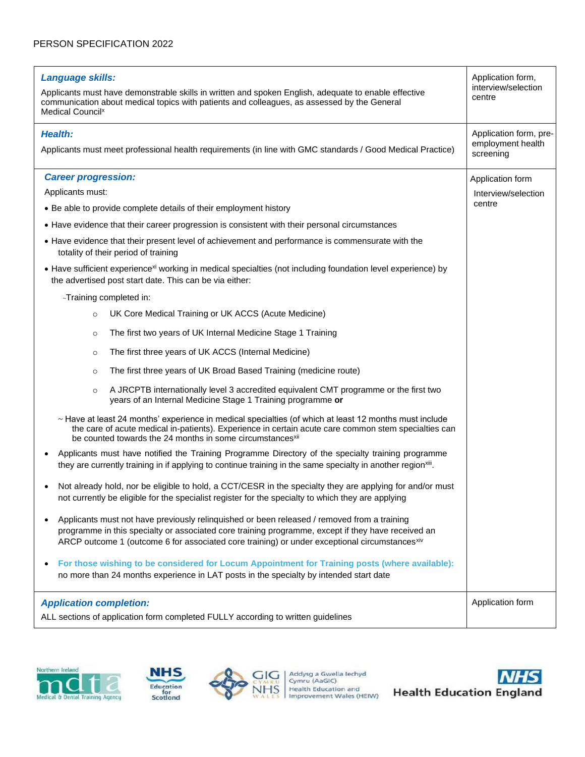| Language skills:<br><b>Medical Council</b> <sup>x</sup> | Applicants must have demonstrable skills in written and spoken English, adequate to enable effective<br>communication about medical topics with patients and colleagues, as assessed by the General                                                                                                 | Application form,<br>interview/selection<br>centre       |
|---------------------------------------------------------|-----------------------------------------------------------------------------------------------------------------------------------------------------------------------------------------------------------------------------------------------------------------------------------------------------|----------------------------------------------------------|
| <b>Health:</b>                                          | Applicants must meet professional health requirements (in line with GMC standards / Good Medical Practice)                                                                                                                                                                                          | Application form, pre-<br>employment health<br>screening |
| <b>Career progression:</b>                              |                                                                                                                                                                                                                                                                                                     | Application form                                         |
| Applicants must:                                        |                                                                                                                                                                                                                                                                                                     | Interview/selection                                      |
|                                                         | • Be able to provide complete details of their employment history                                                                                                                                                                                                                                   | centre                                                   |
|                                                         | • Have evidence that their career progression is consistent with their personal circumstances                                                                                                                                                                                                       |                                                          |
|                                                         | • Have evidence that their present level of achievement and performance is commensurate with the<br>totality of their period of training                                                                                                                                                            |                                                          |
|                                                         | • Have sufficient experience <sup>xi</sup> working in medical specialties (not including foundation level experience) by<br>the advertised post start date. This can be via either:                                                                                                                 |                                                          |
|                                                         | -Training completed in:                                                                                                                                                                                                                                                                             |                                                          |
| $\circ$                                                 | UK Core Medical Training or UK ACCS (Acute Medicine)                                                                                                                                                                                                                                                |                                                          |
| $\circ$                                                 | The first two years of UK Internal Medicine Stage 1 Training                                                                                                                                                                                                                                        |                                                          |
| $\circ$                                                 | The first three years of UK ACCS (Internal Medicine)                                                                                                                                                                                                                                                |                                                          |
| $\circ$                                                 | The first three years of UK Broad Based Training (medicine route)                                                                                                                                                                                                                                   |                                                          |
| $\circ$                                                 | A JRCPTB internationally level 3 accredited equivalent CMT programme or the first two<br>years of an Internal Medicine Stage 1 Training programme or                                                                                                                                                |                                                          |
|                                                         | ~ Have at least 24 months' experience in medical specialties (of which at least 12 months must include<br>the care of acute medical in-patients). Experience in certain acute care common stem specialties can<br>be counted towards the 24 months in some circumstances <sup>xii</sup>             |                                                          |
|                                                         | Applicants must have notified the Training Programme Directory of the specialty training programme<br>they are currently training in if applying to continue training in the same specialty in another region <sup>xiii</sup> .                                                                     |                                                          |
|                                                         | Not already hold, nor be eligible to hold, a CCT/CESR in the specialty they are applying for and/or must<br>not currently be eligible for the specialist register for the specialty to which they are applying                                                                                      |                                                          |
|                                                         | Applicants must not have previously relinquished or been released / removed from a training<br>programme in this specialty or associated core training programme, except if they have received an<br>ARCP outcome 1 (outcome 6 for associated core training) or under exceptional circumstances xiv |                                                          |
|                                                         | For those wishing to be considered for Locum Appointment for Training posts (where available):<br>no more than 24 months experience in LAT posts in the specialty by intended start date                                                                                                            |                                                          |
| <b>Application completion:</b>                          | ALL sections of application form completed FULLY according to written guidelines                                                                                                                                                                                                                    | Application form                                         |







Addysg a Gwella lechyd<br>Cymru (AaGIC)<br>Health Education and<br>Improvement Wales (HEIW)

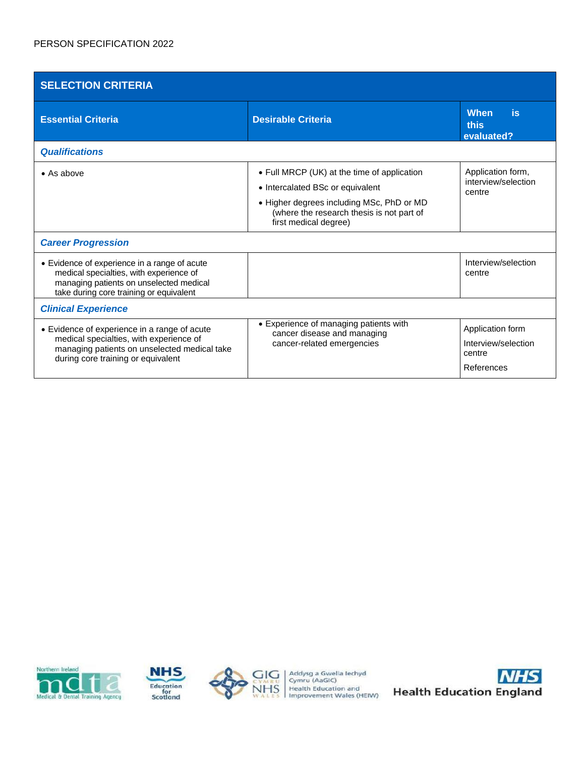| <b>SELECTION CRITERIA</b>                                                                                                                                                     |                                                                                                                                                                                                    |                                                                 |  |
|-------------------------------------------------------------------------------------------------------------------------------------------------------------------------------|----------------------------------------------------------------------------------------------------------------------------------------------------------------------------------------------------|-----------------------------------------------------------------|--|
| <b>Essential Criteria</b>                                                                                                                                                     | <b>Desirable Criteria</b>                                                                                                                                                                          | <b>When</b><br>is<br>this<br>evaluated?                         |  |
| <b>Qualifications</b>                                                                                                                                                         |                                                                                                                                                                                                    |                                                                 |  |
| $\bullet$ As above                                                                                                                                                            | • Full MRCP (UK) at the time of application<br>• Intercalated BSc or equivalent<br>• Higher degrees including MSc, PhD or MD<br>(where the research thesis is not part of<br>first medical degree) | Application form,<br>interview/selection<br>centre              |  |
| <b>Career Progression</b>                                                                                                                                                     |                                                                                                                                                                                                    |                                                                 |  |
| • Evidence of experience in a range of acute<br>medical specialties, with experience of<br>managing patients on unselected medical<br>take during core training or equivalent |                                                                                                                                                                                                    | Interview/selection<br>centre                                   |  |
| <b>Clinical Experience</b>                                                                                                                                                    |                                                                                                                                                                                                    |                                                                 |  |
| • Evidence of experience in a range of acute<br>medical specialties, with experience of<br>managing patients on unselected medical take<br>during core training or equivalent | • Experience of managing patients with<br>cancer disease and managing<br>cancer-related emergencies                                                                                                | Application form<br>Interview/selection<br>centre<br>References |  |







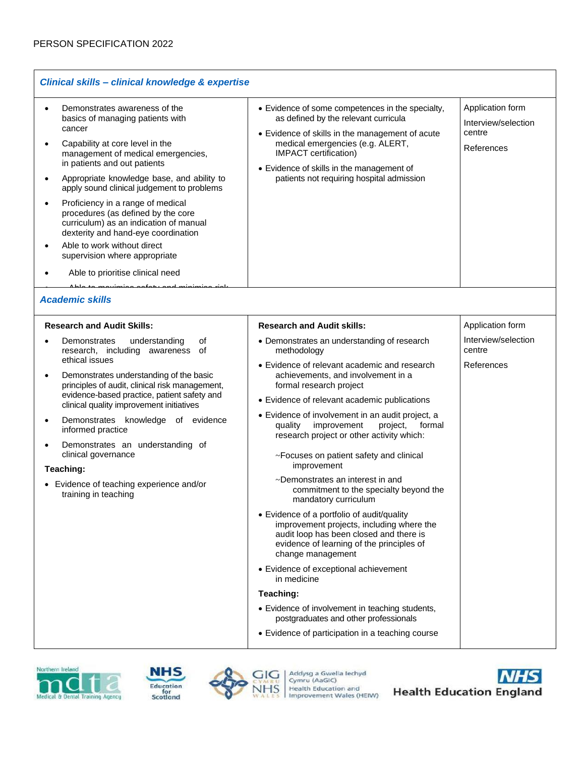| Clinical skills - clinical knowledge & expertise                                                                                                                                                                                                                                                                                                                                                                                                                                                                                                 |                                                                                                                                                                                                                                                                                                                                                                                                                                                                                                                                                                                                                                                                                                                                                                                                                                                                                                                                                                           |                                                                 |  |
|--------------------------------------------------------------------------------------------------------------------------------------------------------------------------------------------------------------------------------------------------------------------------------------------------------------------------------------------------------------------------------------------------------------------------------------------------------------------------------------------------------------------------------------------------|---------------------------------------------------------------------------------------------------------------------------------------------------------------------------------------------------------------------------------------------------------------------------------------------------------------------------------------------------------------------------------------------------------------------------------------------------------------------------------------------------------------------------------------------------------------------------------------------------------------------------------------------------------------------------------------------------------------------------------------------------------------------------------------------------------------------------------------------------------------------------------------------------------------------------------------------------------------------------|-----------------------------------------------------------------|--|
| Demonstrates awareness of the<br>basics of managing patients with<br>cancer<br>Capability at core level in the<br>management of medical emergencies,<br>in patients and out patients<br>Appropriate knowledge base, and ability to<br>apply sound clinical judgement to problems<br>Proficiency in a range of medical<br>procedures (as defined by the core<br>curriculum) as an indication of manual<br>dexterity and hand-eye coordination<br>Able to work without direct<br>supervision where appropriate<br>Able to prioritise clinical need | • Evidence of some competences in the specialty,<br>as defined by the relevant curricula<br>• Evidence of skills in the management of acute<br>medical emergencies (e.g. ALERT,<br>IMPACT certification)<br>• Evidence of skills in the management of<br>patients not requiring hospital admission                                                                                                                                                                                                                                                                                                                                                                                                                                                                                                                                                                                                                                                                        | Application form<br>Interview/selection<br>centre<br>References |  |
| <b>Academic skills</b>                                                                                                                                                                                                                                                                                                                                                                                                                                                                                                                           |                                                                                                                                                                                                                                                                                                                                                                                                                                                                                                                                                                                                                                                                                                                                                                                                                                                                                                                                                                           |                                                                 |  |
| <b>Research and Audit Skills:</b>                                                                                                                                                                                                                                                                                                                                                                                                                                                                                                                | <b>Research and Audit skills:</b>                                                                                                                                                                                                                                                                                                                                                                                                                                                                                                                                                                                                                                                                                                                                                                                                                                                                                                                                         | Application form                                                |  |
| Demonstrates<br>understanding<br>οf<br>research, including awareness of<br>ethical issues<br>Demonstrates understanding of the basic<br>principles of audit, clinical risk management,<br>evidence-based practice, patient safety and<br>clinical quality improvement initiatives<br>Demonstrates knowledge of evidence<br>$\bullet$<br>informed practice<br>Demonstrates an understanding of<br>clinical governance<br>Teaching:<br>Evidence of teaching experience and/or<br>training in teaching                                              | • Demonstrates an understanding of research<br>methodology<br>• Evidence of relevant academic and research<br>achievements, and involvement in a<br>formal research project<br>• Evidence of relevant academic publications<br>• Evidence of involvement in an audit project, a<br>improvement<br>project,<br>formal<br>quality<br>research project or other activity which:<br>~Focuses on patient safety and clinical<br>improvement<br>~Demonstrates an interest in and<br>commitment to the specialty beyond the<br>mandatory curriculum<br>• Evidence of a portfolio of audit/quality<br>improvement projects, including where the<br>audit loop has been closed and there is<br>evidence of learning of the principles of<br>change management<br>• Evidence of exceptional achievement<br>in medicine<br>Teaching:<br>• Evidence of involvement in teaching students,<br>postgraduates and other professionals<br>• Evidence of participation in a teaching course | Interview/selection<br>centre<br>References                     |  |







Addysg a Gwella lechyd<br>Cymru (AaGlC)<br>Health Education and<br>Improvement Wales (HEIW)

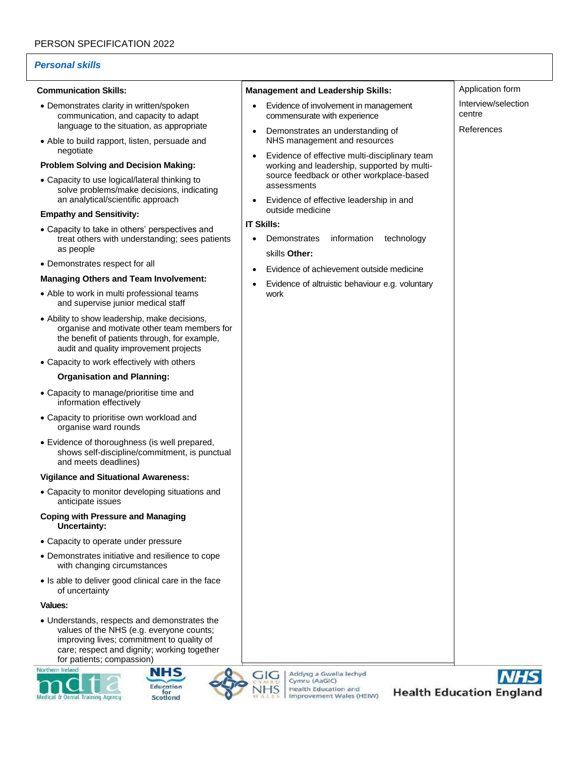# *Personal skills*

## **Communication Skills:**

- Demonstrates clarity in written/spoken communication, and capacity to adapt language to the situation, as appropriate
- Able to build rapport, listen, persuade and negotiate

# **Problem Solving and Decision Making:**

• Capacity to use logical/lateral thinking to solve problems/make decisions, indicating an analytical/scientific approach

### **Empathy and Sensitivity:**

- Capacity to take in others' perspectives and treat others with understanding; sees patients as people
- Demonstrates respect for all

# **Managing Others and Team Involvement:**

- Able to work in multi professional teams and supervise junior medical staff
- Ability to show leadership, make decisions, organise and motivate other team members for the benefit of patients through, for example, audit and quality improvement projects
- Capacity to work effectively with others

## **Organisation and Planning:**

- Capacity to manage/prioritise time and information effectively
- Capacity to prioritise own workload and organise ward rounds
- Evidence of thoroughness (is well prepared, shows self-discipline/commitment, is punctual and meets deadlines)

### **Vigilance and Situational Awareness:**

• Capacity to monitor developing situations and anticipate issues

#### **Coping with Pressure and Managing Uncertainty:**

- Capacity to operate under pressure
- Demonstrates initiative and resilience to cope with changing circumstances
- Is able to deliver good clinical care in the face of uncertainty

**Values:**

• Understands, respects and demonstrates the values of the NHS (e.g. everyone counts; improving lives; commitment to quality of care; respect and dignity; working together for patients; compassion)









| <b>Management and Leadership Skills:</b>                                                                                                                             | Application form              |
|----------------------------------------------------------------------------------------------------------------------------------------------------------------------|-------------------------------|
| Evidence of involvement in management<br>commensurate with experience                                                                                                | Interview/selection<br>centre |
| Demonstrates an understanding of<br>٠<br>NHS management and resources                                                                                                | References                    |
| Evidence of effective multi-disciplinary team<br>$\bullet$<br>working and leadership, supported by multi-<br>source feedback or other workplace-based<br>assessments |                               |
| Evidence of effective leadership in and<br>outside medicine                                                                                                          |                               |
| <b>IT Skills:</b>                                                                                                                                                    |                               |
| information<br>Demonstrates<br>technology                                                                                                                            |                               |
| skills Other:                                                                                                                                                        |                               |
| Evidence of achievement outside medicine                                                                                                                             |                               |
| Evidence of altruistic behaviour e.g. voluntary<br>٠<br>work                                                                                                         |                               |
|                                                                                                                                                                      |                               |
|                                                                                                                                                                      |                               |
|                                                                                                                                                                      |                               |
|                                                                                                                                                                      |                               |
|                                                                                                                                                                      |                               |
|                                                                                                                                                                      |                               |
|                                                                                                                                                                      |                               |
|                                                                                                                                                                      |                               |
|                                                                                                                                                                      |                               |
|                                                                                                                                                                      |                               |
|                                                                                                                                                                      |                               |
|                                                                                                                                                                      |                               |
|                                                                                                                                                                      |                               |
|                                                                                                                                                                      |                               |
|                                                                                                                                                                      |                               |
|                                                                                                                                                                      |                               |
|                                                                                                                                                                      |                               |
|                                                                                                                                                                      |                               |
|                                                                                                                                                                      |                               |
|                                                                                                                                                                      |                               |
|                                                                                                                                                                      |                               |
|                                                                                                                                                                      |                               |
|                                                                                                                                                                      |                               |
|                                                                                                                                                                      |                               |